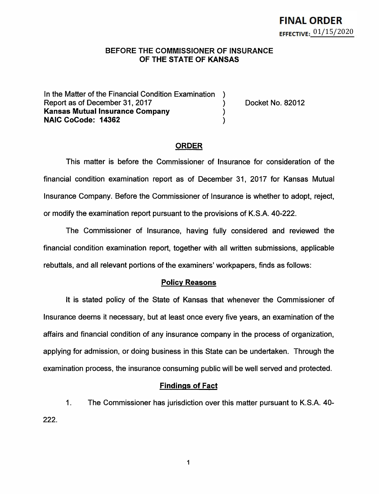## **BEFORE** THE **COMMISSIONER OF INSURANCE OF THE STATE OF KANSAS**

In the Matter of the Financial Condition Examination Report as of December 31, 2017 (and Separation Contract No. 82012) **Kansas Mutual Insurance Company** ) **NAIC CoCode: 14362** )

## **ORDER**

This matter is before the Commissioner of Insurance for consideration of the financial condition examination report as of December 31, 2017 for Kansas Mutual Insurance Company. Before the Commissioner of Insurance is whether to adopt, reject, or modify the examination report pursuant to the provisions of K.S.A. 40-222.

The Commissioner of Insurance, having fully considered and reviewed the financial condition examination report, together with all written submissions, applicable rebuttals, and all relevant portions of the examiners' workpapers, finds as follows:

#### **Policy Reasons**

It is stated policy of the State of Kansas that whenever the Commissioner of Insurance deems it necessary, but at least once every five years, an examination of the affairs and financial condition of any insurance company in the process of organization, applying for admission, or doing business in this State can be undertaken. Through the examination process, the insurance consuming public will be well served and protected.

#### **Findings of Fact**

1. The Commissioner has jurisdiction over this matter pursuant to K.S.A. 40- 222.

1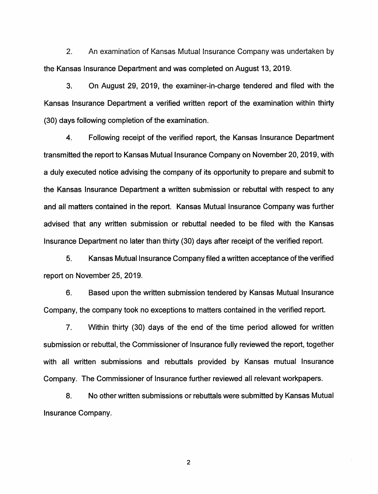2. An examination of Kansas Mutual Insurance Company was undertaken by the Kansas Insurance Department and was completed on August 13, 2019.

3. On August 29, 2019, the examiner-in-charge tendered and filed with the Kansas Insurance Department a verified written report of the examination within thirty (30) days following completion of the examination.

4. Following receipt of the verified report, the Kansas Insurance Department transmitted the report to Kansas Mutual Insurance Company on November 20, 2019, with a duly executed notice advising the company of its opportunity to prepare and submit to the Kansas Insurance Department a written submission or rebuttal with respect to any and all matters contained in the report. Kansas Mutual Insurance Company was further advised that any written submission or rebuttal needed to be filed with the Kansas Insurance Department no later than thirty (30) days after receipt of the verified report.

5. Kansas Mutual Insurance Company filed a written acceptance of the verified report on November 25, 2019.

6. Based upon the written submission tendered by Kansas Mutual Insurance Company, the company took no exceptions to matters contained in the verified report.

7. Within thirty (30) days of the end of the time period allowed for written submission or rebuttal, the Commissioner of Insurance fully reviewed the report, together with all written submissions and rebuttals provided by Kansas mutual Insurance Company. The Commissioner of Insurance further reviewed all relevant workpapers.

8. No other written submissions or rebuttals were submitted by Kansas Mutual Insurance Company.

2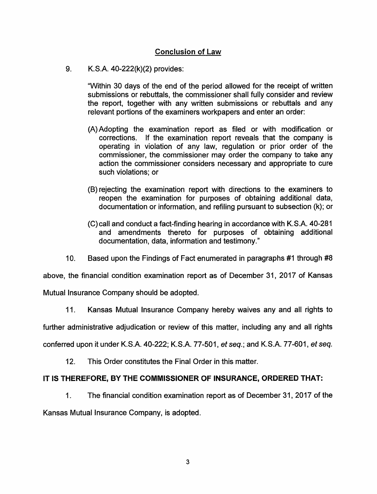# **Conclusion of Law**

## 9. K.S.A. 40-222(k)(2) provides:

"Within 30 days of the end of the period allowed for the receipt of written submissions or rebuttals, the commissioner shall fully consider and review the report, together with any written submissions or rebuttals and any relevant portions of the examiners workpapers and enter an order:

- (A) Adopting the examination report as filed or with modification or corrections. If the examination report reveals that the company is operating in violation of any law, regulation or prior order of the commissioner, the commissioner may order the company to take any action the commissioner considers necessary and appropriate to cure such violations; or
- (B) rejecting the examination report with directions to the examiners to reopen the examination for purposes of obtaining additional data, documentation or information, and refiling pursuant to subsection (k); or
- (C) call and conduct a fact-finding hearing in accordance with K.S.A. 40-281 and amendments thereto for purposes of obtaining additional documentation, data, information and testimony."
- 10. Based upon the Findings of Fact enumerated in paragraphs #1 through #8

above, the financial condition examination report as of December 31, 2017 of Kansas

Mutual Insurance Company should be adopted.

11. Kansas Mutual Insurance Company hereby waives any and all rights to

further administrative adjudication or review of this matter, including any and all rights

conferred upon it under K.S.A. 40-222; K.S.A. 77-501, et seq.; and K.S.A. 77-601, et seq.

12. This Order constitutes the Final Order in this matter.

# **IT IS THEREFORE, BY THE COMMISSIONER OF INSURANCE, ORDERED THAT:**

1. The financial condition examination report as of December 31, 2017 of the

Kansas Mutual Insurance Company, is adopted.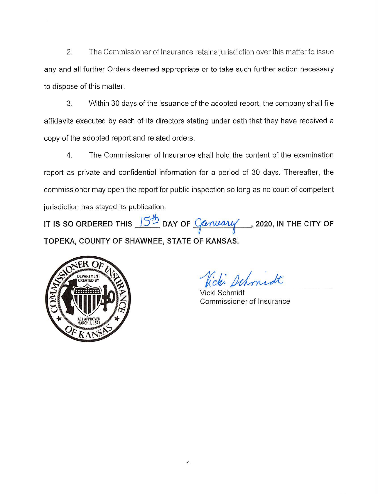2. The Commissioner of Insurance retains jurisdiction over this matter to issue any and all further Orders deemed appropriate or to take such further action necessary to dispose of this matter.

3. Within 30 days of the issuance of the adopted report, the company shall file affidavits executed by each of its directors stating under oath that they have received a copy of the adopted report and related orders.

4. The Commissioner of Insurance shall hold the content of the examination report as private and confidential information for a period of 30 days. Thereafter, the commissioner may open the report for public inspection so long as no court of competent jurisdiction has stayed its publication.

**IT IS SO ORDERED THIS /5..J:!:i DAY OF** ~ , **2020, IN THE CITY OF TOPEKA, COUNTY OF SHAWNEE, STATE OF KANSAS.** 



i schmidt

Vicki Schmidt Commissioner of Insurance